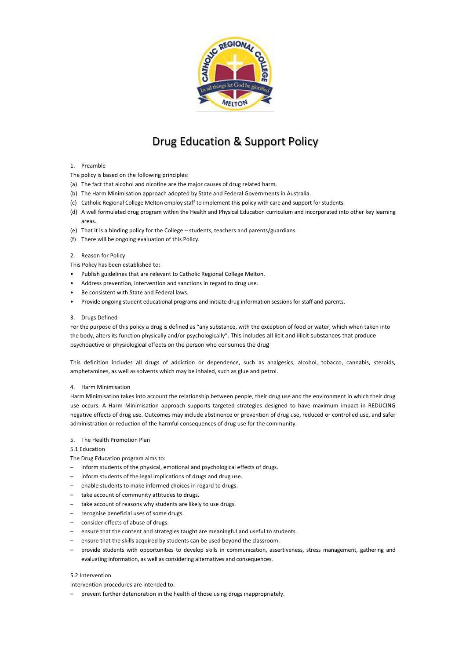

# Drug Education & Support Policy

# 1. Preamble

- The policy is based on the following principles:
- (a) The fact that alcohol and nicotine are the major causes of drug related harm.
- (b) The Harm Minimisation approach adopted by State and Federal Governments in Australia.
- (c) Catholic Regional College Melton employ staff to implement this policy with care and support for students.
- (d) A well formulated drug program within the Health and Physical Education curriculum and incorporated into other key learning areas.
- (e) That it is a binding policy for the College students, teachers and parents/guardians.
- (f) There will be ongoing evaluation of this Policy.

# 2. Reason for Policy

This Policy has been established to:

- Publish guidelines that are relevant to Catholic Regional College Melton.
- Address prevention, intervention and sanctions in regard to drug use.
- Be consistent with State and Federal laws.
- Provide ongoing student educational programs and initiate drug information sessions for staff and parents.

# 3. Drugs Defined

For the purpose of this policy a drug is defined as "any substance, with the exception of food or water, which when taken into the body, alters its function physically and/or psychologically". This includes all licit and illicit substances that produce psychoactive or physiological effects on the person who consumes the drug

This definition includes all drugs of addiction or dependence, such as analgesics, alcohol, tobacco, cannabis, steroids, amphetamines, as well as solvents which may be inhaled, such as glue and petrol.

#### 4. Harm Minimisation

Harm Minimisation takes into account the relationship between people, their drug use and the environment in which their drug use occurs. A Harm Minimisation approach supports targeted strategies designed to have maximum impact in REDUCING negative effects of drug use. Outcomes may include abstinence or prevention of drug use, reduced or controlled use, and safer administration or reduction of the harmful consequences of drug use for the community.

#### 5. The Health Promotion Plan

5.1 Education

The Drug Education program aims to:

- inform students of the physical, emotional and psychological effects of drugs.
- inform students of the legal implications of drugs and drug use.
- enable students to make informed choices in regard to drugs.
- take account of community attitudes to drugs.
- take account of reasons why students are likely to use drugs.
- recognise beneficial uses of some drugs.
- consider effects of abuse of drugs.
- ensure that the content and strategies taught are meaningful and useful to students.
- ensure that the skills acquired by students can be used beyond the classroom.
- provide students with opportunities to develop skills in communication, assertiveness, stress management, gathering and evaluating information, as well as considering alternatives and consequences.

#### 5.2 Intervention

Intervention procedures are intended to:

– prevent further deterioration in the health of those using drugs inappropriately.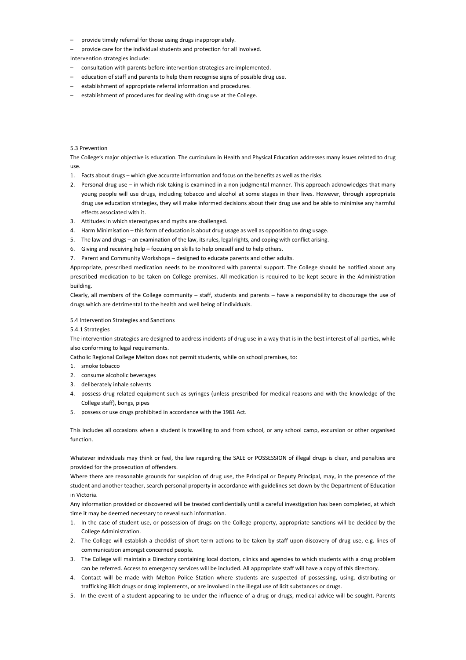- provide timely referral for those using drugs inappropriately.
- provide care for the individual students and protection for all involved.

Intervention strategies include:

- consultation with parents before intervention strategies are implemented.
- education of staff and parents to help them recognise signs of possible drug use.
- establishment of appropriate referral information and procedures.
- establishment of procedures for dealing with drug use at the College.

# 5.3 Prevention

The College's major objective is education. The curriculum in Health and Physical Education addresses many issues related to drug use.

- 1. Facts about drugs which give accurate information and focus on the benefits as well as the risks.
- 2. Personal drug use in which risk-taking is examined in a non-judgmental manner. This approach acknowledges that many young people will use drugs, including tobacco and alcohol at some stages in their lives. However, through appropriate drug use education strategies, they will make informed decisions about their drug use and be able to minimise any harmful effects associated with it.
- 3. Attitudes in which stereotypes and myths are challenged.
- 4. Harm Minimisation this form of education is about drug usage as well as opposition to drug usage.
- 5. The law and drugs an examination of the law, its rules, legal rights, and coping with conflict arising.
- 6. Giving and receiving help focusing on skills to help oneself and to help others.
- 7. Parent and Community Workshops designed to educate parents and other adults.

Appropriate, prescribed medication needs to be monitored with parental support. The College should be notified about any prescribed medication to be taken on College premises. All medication is required to be kept secure in the Administration building.

Clearly, all members of the College community – staff, students and parents – have a responsibility to discourage the use of drugs which are detrimental to the health and well being of individuals.

# 5.4 Intervention Strategies and Sanctions

5.4.1 Strategies

The intervention strategies are designed to address incidents of drug use in a way that is in the best interest of all parties, while also conforming to legal requirements.

Catholic Regional College Melton does not permit students, while on school premises, to:

- 1. smoke tobacco
- 2. consume alcoholic beverages
- 3. deliberately inhale solvents
- 4. possess drug-related equipment such as syringes (unless prescribed for medical reasons and with the knowledge of the College staff), bongs, pipes
- 5. possess or use drugs prohibited in accordance with the 1981 Act.

This includes all occasions when a student is travelling to and from school, or any school camp, excursion or other organised function.

Whatever individuals may think or feel, the law regarding the SALE or POSSESSION of illegal drugs is clear, and penalties are provided for the prosecution of offenders.

Where there are reasonable grounds for suspicion of drug use, the Principal or Deputy Principal, may, in the presence of the student and another teacher, search personal property in accordance with guidelines set down by the Department of Education in Victoria.

Any information provided or discovered will be treated confidentially until a careful investigation has been completed, at which time it may be deemed necessary to reveal such information.

- 1. In the case of student use, or possession of drugs on the College property, appropriate sanctions will be decided by the College Administration.
- 2. The College will establish a checklist of short-term actions to be taken by staff upon discovery of drug use, e.g. lines of communication amongst concerned people.
- 3. The College will maintain a Directory containing local doctors, clinics and agencies to which students with a drug problem can be referred. Access to emergency services will be included. All appropriate staff will have a copy of this directory.
- 4. Contact will be made with Melton Police Station where students are suspected of possessing, using, distributing or trafficking illicit drugs or drug implements, or are involved in the illegal use of licit substances or drugs.
- 5. In the event of a student appearing to be under the influence of a drug or drugs, medical advice will be sought. Parents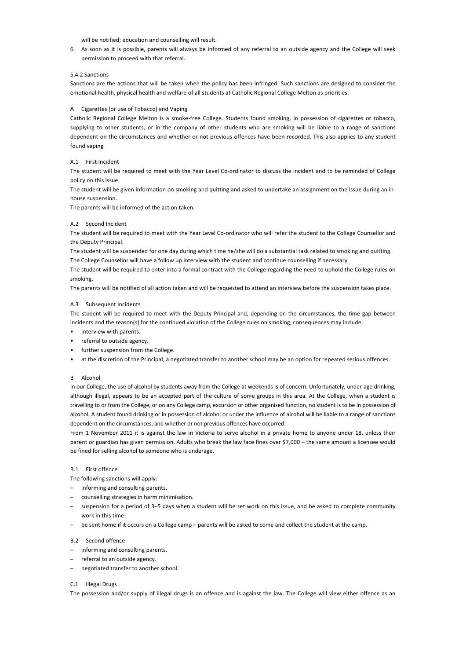will be notified; education and counselling will result.

6. As soon as it is possible, parents will always be informed of any referral to an outside agency and the College will seek permission to proceed with that referral.

# 5.4.2 Sanctions

Sanctions are the actions that will be taken when the policy has been infringed. Such sanctions are designed to consider the emotional health, physical health and welfare of all students at Catholic Regional College Melton as priorities.

## A Cigarettes (or use of Tobacco) and Vaping

Catholic Regional College Melton is a smoke-free College. Students found smoking, in possession of cigarettes or tobacco, supplying to other students, or in the company of other students who are smoking will be liable to a range of sanctions dependent on the circumstances and whether or not previous offences have been recorded. This also applies to any student found vaping

## A.1 First Incident

The student will be required to meet with the Year Level Co-ordinator to discuss the incident and to be reminded of College policy on this issue.

The student will be given information on smoking and quitting and asked to undertake an assignment on the issue during an inhouse suspension.

The parents will be informed of the action taken.

#### A.2 Second Incident

The student will be required to meet with the Year Level Co-ordinator who will refer the student to the College Counsellor and the Deputy Principal.

The student will be suspended for one day during which time he/she will do a substantial task related to smoking and quitting. The College Counsellor will have a follow up interview with the student and continue counselling if necessary.

The student will be required to enter into a formal contract with the College regarding the need to uphold the College rules on smoking.

The parents will be notified of all action taken and will be requested to attend an interview before the suspension takes place.

#### A.3 Subsequent Incidents

The student will be required to meet with the Deputy Principal and, depending on the circumstances, the time gap between incidents and the reason(s) for the continued violation of the College rules on smoking, consequences may include:

- interview with parents.
- referral to outside agency.
- further suspension from the College.
- at the discretion of the Principal, a negotiated transfer to another school may be an option for repeated serious offences.

#### B Alcohol

In our College, the use of alcohol by students away from the College at weekends is of concern. Unfortunately, under-age drinking, although illegal, appears to be an accepted part of the culture of some groups in this area. At the College, when a student is travelling to or from the College, or on any College camp, excursion or other organised function, no student is to be in possession of alcohol. A student found drinking or in possession of alcohol or under the influence of alcohol will be liable to a range of sanctions dependent on the circumstances, and whether or not previous offences have occurred.

From 1 November 2011 it is against the law in Victoria to serve alcohol in a private home to anyone under 18, unless their parent or guardian has given permission. Adults who break the law face fines over \$7,000 – the same amount a licensee would be fined for selling alcohol to someone who is underage.

# B.1 First offence

- The following sanctions will apply:
- informing and consulting parents.
- counselling strategies in harm minimisation.
- suspension for a period of 3–5 days when a student will be set work on this issue, and be asked to complete community work in this time.
- be sent home if it occurs on a College camp parents will be asked to come and collect the student at the camp.

#### B.2 Second offence

- informing and consulting parents.
- referral to an outside agency.
- negotiated transfer to another school.

## C.1 Illegal Drugs

The possession and/or supply of illegal drugs is an offence and is against the law. The College will view either offence as an